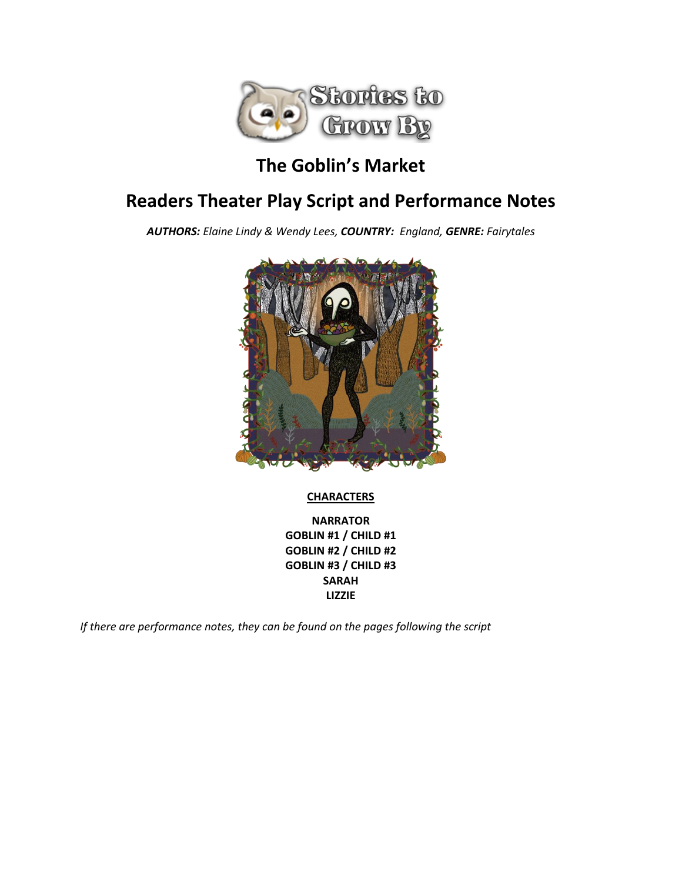

# **The Goblin's Market**

# **Readers Theater Play Script and Performance Notes**

*AUTHORS: Elaine Lindy & Wendy Lees, COUNTRY: England, GENRE: Fairytales*



# **CHARACTERS**

**NARRATOR GOBLIN #1 / CHILD #1 GOBLIN #2 / CHILD #2 GOBLIN #3 / CHILD #3 SARAH LIZZIE**

*If there are performance notes, they can be found on the pages following the script*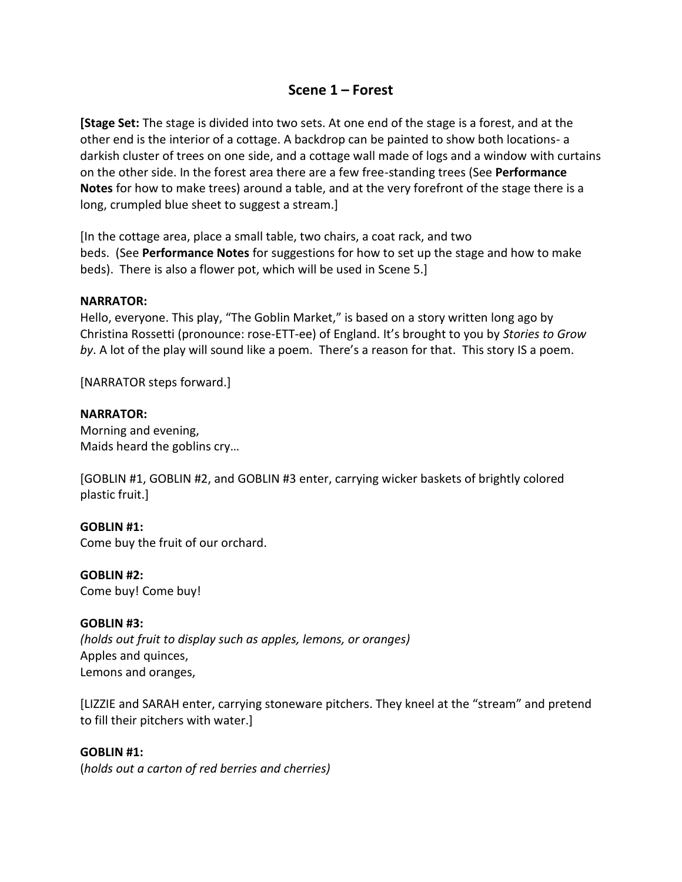# **Scene 1 – Forest**

**[Stage Set:** The stage is divided into two sets. At one end of the stage is a forest, and at the other end is the interior of a cottage. A backdrop can be painted to show both locations- a darkish cluster of trees on one side, and a cottage wall made of logs and a window with curtains on the other side. In the forest area there are a few free-standing trees (See **Performance Notes** for how to make trees) around a table, and at the very forefront of the stage there is a long, crumpled blue sheet to suggest a stream.]

[In the cottage area, place a small table, two chairs, a coat rack, and two beds. (See **Performance Notes** for suggestions for how to set up the stage and how to make beds). There is also a flower pot, which will be used in Scene 5.]

# **NARRATOR:**

Hello, everyone. This play, "The Goblin Market," is based on a story written long ago by Christina Rossetti (pronounce: rose-ETT-ee) of England. It's brought to you by *Stories to Grow by*. A lot of the play will sound like a poem. There's a reason for that. This story IS a poem.

[NARRATOR steps forward.]

#### **NARRATOR:**

Morning and evening, Maids heard the goblins cry…

[GOBLIN #1, GOBLIN #2, and GOBLIN #3 enter, carrying wicker baskets of brightly colored plastic fruit.]

# **GOBLIN #1:**

Come buy the fruit of our orchard.

#### **GOBLIN #2:**

Come buy! Come buy!

# **GOBLIN #3:**

*(holds out fruit to display such as apples, lemons, or oranges)* Apples and quinces, Lemons and oranges,

[LIZZIE and SARAH enter, carrying stoneware pitchers. They kneel at the "stream" and pretend to fill their pitchers with water.]

# **GOBLIN #1:**

(*holds out a carton of red berries and cherries)*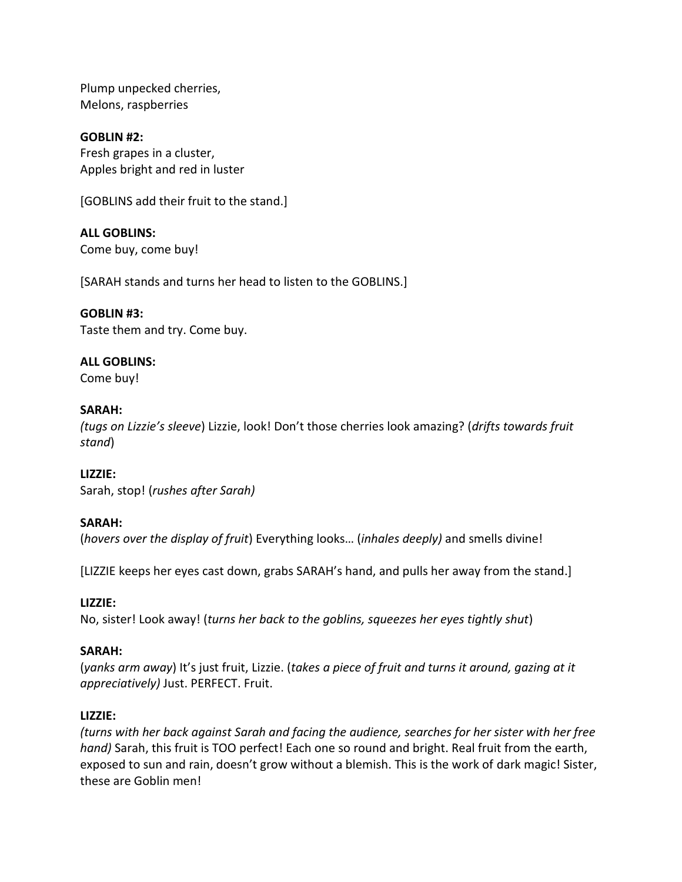Plump unpecked cherries, Melons, raspberries

**GOBLIN #2:** Fresh grapes in a cluster, Apples bright and red in luster

[GOBLINS add their fruit to the stand.]

# **ALL GOBLINS:**

Come buy, come buy!

[SARAH stands and turns her head to listen to the GOBLINS.]

# **GOBLIN #3:**

Taste them and try. Come buy.

# **ALL GOBLINS:**

Come buy!

# **SARAH:**

*(tugs on Lizzie's sleeve*) Lizzie, look! Don't those cherries look amazing? (*drifts towards fruit stand*)

# **LIZZIE:**

Sarah, stop! (*rushes after Sarah)*

# **SARAH:**

(*hovers over the display of fruit*) Everything looks… (*inhales deeply)* and smells divine!

[LIZZIE keeps her eyes cast down, grabs SARAH's hand, and pulls her away from the stand.]

# **LIZZIE:**

No, sister! Look away! (*turns her back to the goblins, squeezes her eyes tightly shut*)

# **SARAH:**

(*yanks arm away*) It's just fruit, Lizzie. (*takes a piece of fruit and turns it around, gazing at it appreciatively)* Just. PERFECT. Fruit.

# **LIZZIE:**

*(turns with her back against Sarah and facing the audience, searches for her sister with her free hand)* Sarah, this fruit is TOO perfect! Each one so round and bright. Real fruit from the earth, exposed to sun and rain, doesn't grow without a blemish. This is the work of dark magic! Sister, these are Goblin men!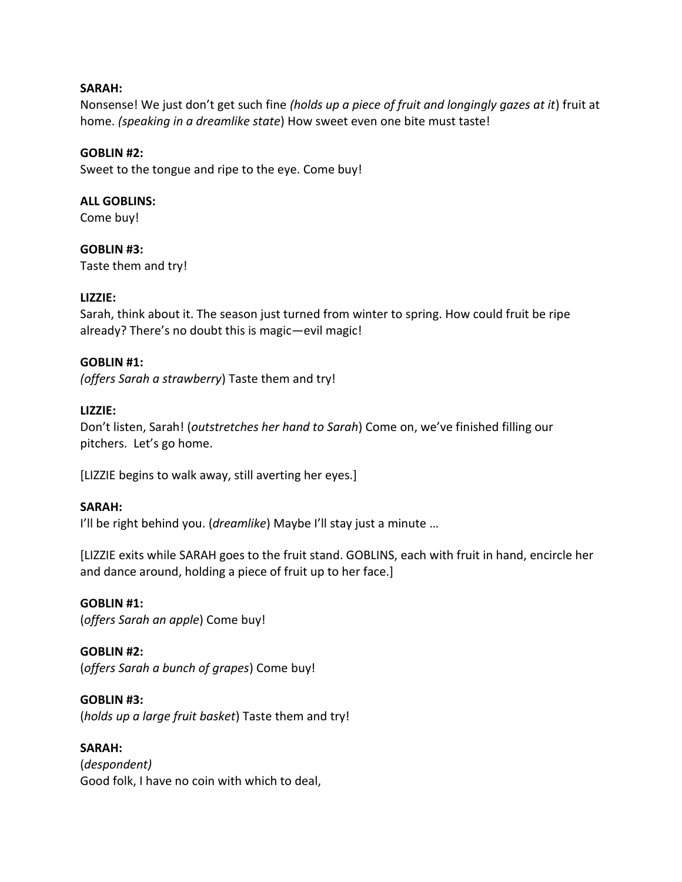# **SARAH:**

Nonsense! We just don't get such fine *(holds up a piece of fruit and longingly gazes at it*) fruit at home. *(speaking in a dreamlike state*) How sweet even one bite must taste!

#### **GOBLIN #2:**

Sweet to the tongue and ripe to the eye. Come buy!

#### **ALL GOBLINS:**

Come buy!

**GOBLIN #3:** Taste them and try!

#### **LIZZIE:**

Sarah, think about it. The season just turned from winter to spring. How could fruit be ripe already? There's no doubt this is magic—evil magic!

#### **GOBLIN #1:**

*(offers Sarah a strawberry*) Taste them and try!

# **LIZZIE:**

Don't listen, Sarah! (*outstretches her hand to Sarah*) Come on, we've finished filling our pitchers. Let's go home.

[LIZZIE begins to walk away, still averting her eyes.]

#### **SARAH:**

I'll be right behind you. (*dreamlike*) Maybe I'll stay just a minute …

[LIZZIE exits while SARAH goes to the fruit stand. GOBLINS, each with fruit in hand, encircle her and dance around, holding a piece of fruit up to her face.]

#### **GOBLIN #1:**

(*offers Sarah an apple*) Come buy!

# **GOBLIN #2:**

(*offers Sarah a bunch of grapes*) Come buy!

#### **GOBLIN #3:**

(*holds up a large fruit basket*) Taste them and try!

#### **SARAH:**

(*despondent)* Good folk, I have no coin with which to deal,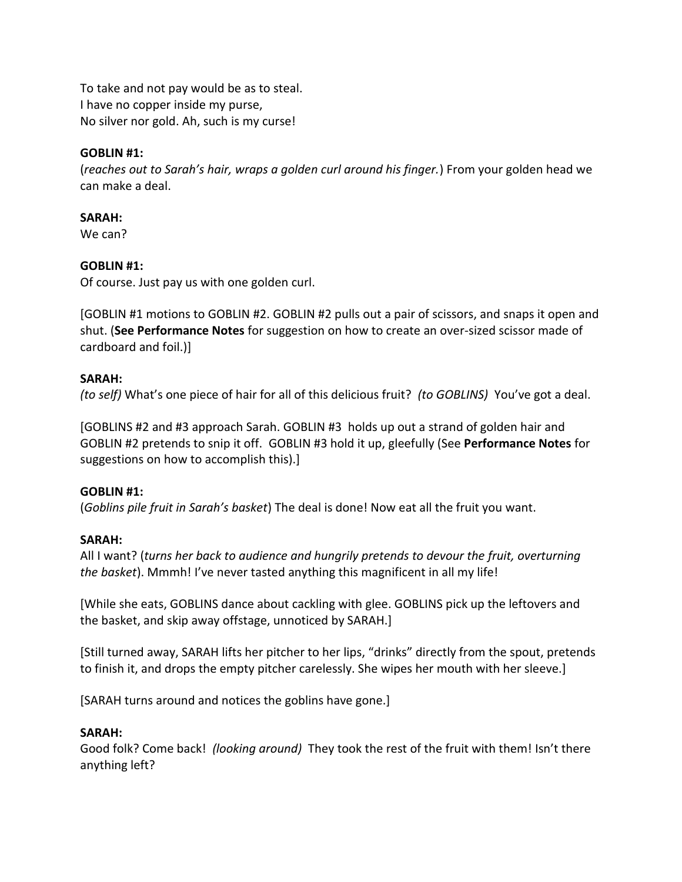To take and not pay would be as to steal. I have no copper inside my purse, No silver nor gold. Ah, such is my curse!

# **GOBLIN #1:**

(*reaches out to Sarah's hair, wraps a golden curl around his finger.*) From your golden head we can make a deal.

# **SARAH:**

We can?

# **GOBLIN #1:**

Of course. Just pay us with one golden curl.

[GOBLIN #1 motions to GOBLIN #2. GOBLIN #2 pulls out a pair of scissors, and snaps it open and shut. (**See Performance Notes** for suggestion on how to create an over-sized scissor made of cardboard and foil.)]

# **SARAH:**

*(to self)* What's one piece of hair for all of this delicious fruit? *(to GOBLINS)* You've got a deal.

[GOBLINS #2 and #3 approach Sarah. GOBLIN #3 holds up out a strand of golden hair and GOBLIN #2 pretends to snip it off. GOBLIN #3 hold it up, gleefully (See **Performance Notes** for suggestions on how to accomplish this).]

# **GOBLIN #1:**

(*Goblins pile fruit in Sarah's basket*) The deal is done! Now eat all the fruit you want.

# **SARAH:**

All I want? (*turns her back to audience and hungrily pretends to devour the fruit, overturning the basket*). Mmmh! I've never tasted anything this magnificent in all my life!

[While she eats, GOBLINS dance about cackling with glee. GOBLINS pick up the leftovers and the basket, and skip away offstage, unnoticed by SARAH.]

[Still turned away, SARAH lifts her pitcher to her lips, "drinks" directly from the spout, pretends to finish it, and drops the empty pitcher carelessly. She wipes her mouth with her sleeve.]

[SARAH turns around and notices the goblins have gone.]

# **SARAH:**

Good folk? Come back! *(looking around)* They took the rest of the fruit with them! Isn't there anything left?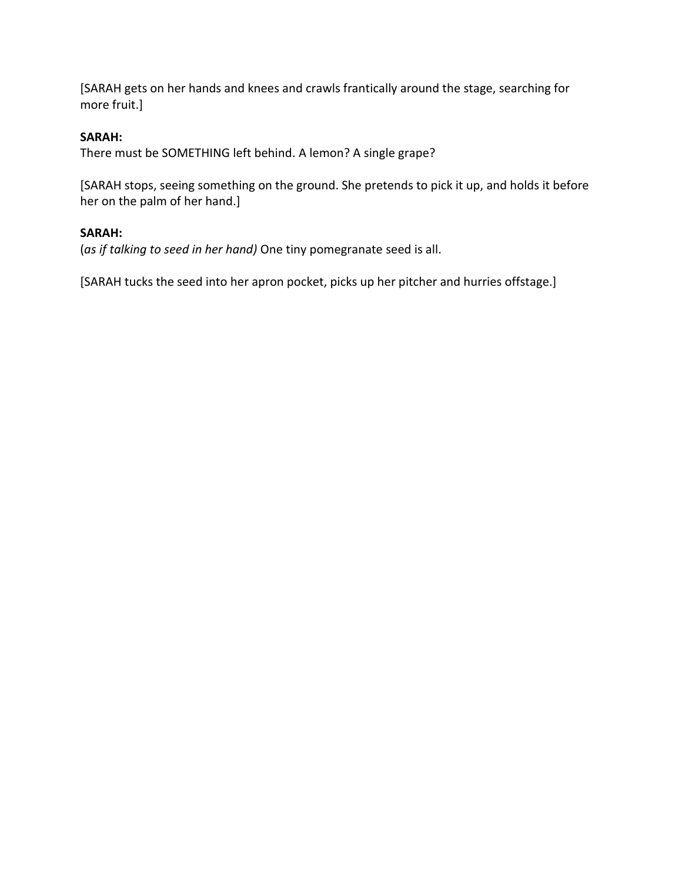[SARAH gets on her hands and knees and crawls frantically around the stage, searching for more fruit.]

# **SARAH:**

There must be SOMETHING left behind. A lemon? A single grape?

[SARAH stops, seeing something on the ground. She pretends to pick it up, and holds it before her on the palm of her hand.]

# **SARAH:**

(*as if talking to seed in her hand)* One tiny pomegranate seed is all.

[SARAH tucks the seed into her apron pocket, picks up her pitcher and hurries offstage.]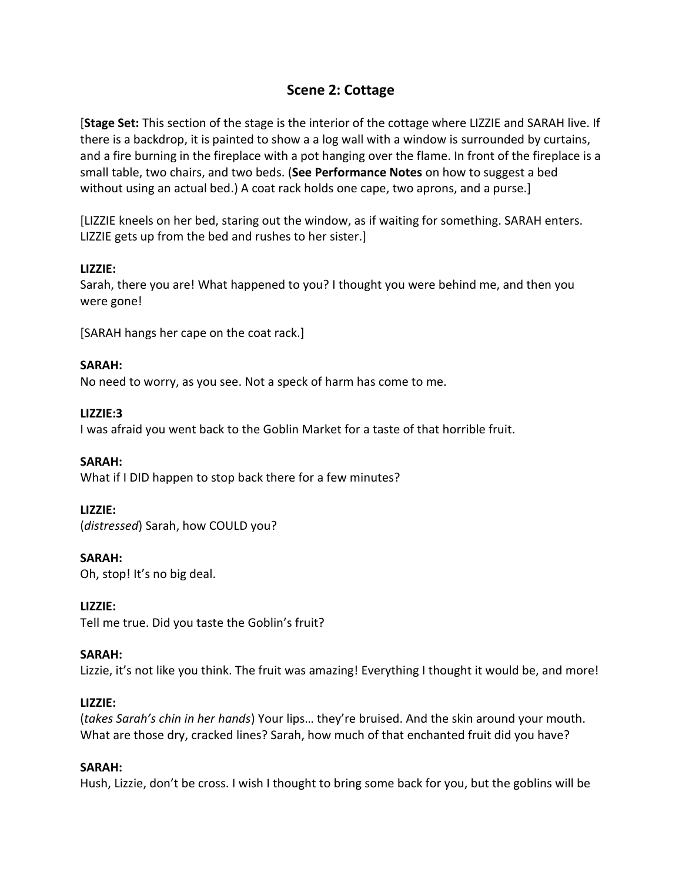# **Scene 2: Cottage**

[**Stage Set:** This section of the stage is the interior of the cottage where LIZZIE and SARAH live. If there is a backdrop, it is painted to show a a log wall with a window is surrounded by curtains, and a fire burning in the fireplace with a pot hanging over the flame. In front of the fireplace is a small table, two chairs, and two beds. (**See Performance Notes** on how to suggest a bed without using an actual bed.) A coat rack holds one cape, two aprons, and a purse.]

[LIZZIE kneels on her bed, staring out the window, as if waiting for something. SARAH enters. LIZZIE gets up from the bed and rushes to her sister.]

# **LIZZIE:**

Sarah, there you are! What happened to you? I thought you were behind me, and then you were gone!

[SARAH hangs her cape on the coat rack.]

# **SARAH:**

No need to worry, as you see. Not a speck of harm has come to me.

# **LIZZIE:3**

I was afraid you went back to the Goblin Market for a taste of that horrible fruit.

# **SARAH:**

What if I DID happen to stop back there for a few minutes?

# **LIZZIE:**

(*distressed*) Sarah, how COULD you?

# **SARAH:**

Oh, stop! It's no big deal.

# **LIZZIE:**

Tell me true. Did you taste the Goblin's fruit?

# **SARAH:**

Lizzie, it's not like you think. The fruit was amazing! Everything I thought it would be, and more!

# **LIZZIE:**

(*takes Sarah's chin in her hands*) Your lips… they're bruised. And the skin around your mouth. What are those dry, cracked lines? Sarah, how much of that enchanted fruit did you have?

# **SARAH:**

Hush, Lizzie, don't be cross. I wish I thought to bring some back for you, but the goblins will be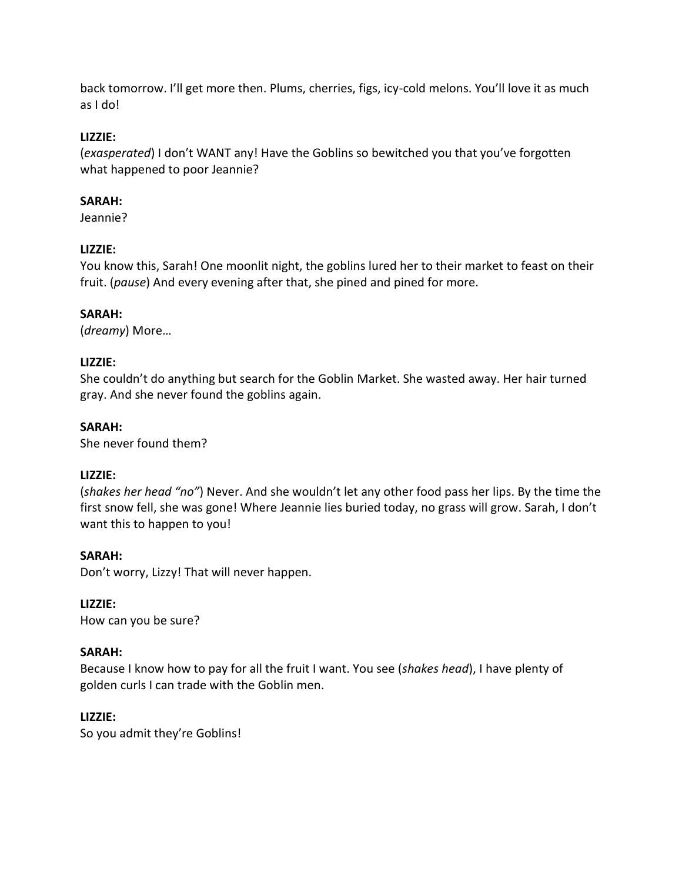back tomorrow. I'll get more then. Plums, cherries, figs, icy-cold melons. You'll love it as much as I do!

# **LIZZIE:**

(*exasperated*) I don't WANT any! Have the Goblins so bewitched you that you've forgotten what happened to poor Jeannie?

# **SARAH:**

Jeannie?

# **LIZZIE:**

You know this, Sarah! One moonlit night, the goblins lured her to their market to feast on their fruit. (*pause*) And every evening after that, she pined and pined for more.

# **SARAH:**

(*dreamy*) More…

# **LIZZIE:**

She couldn't do anything but search for the Goblin Market. She wasted away. Her hair turned gray. And she never found the goblins again.

# **SARAH:**

She never found them?

# **LIZZIE:**

(*shakes her head "no"*) Never. And she wouldn't let any other food pass her lips. By the time the first snow fell, she was gone! Where Jeannie lies buried today, no grass will grow. Sarah, I don't want this to happen to you!

# **SARAH:**

Don't worry, Lizzy! That will never happen.

# **LIZZIE:**

How can you be sure?

# **SARAH:**

Because I know how to pay for all the fruit I want. You see (*shakes head*), I have plenty of golden curls I can trade with the Goblin men.

# **LIZZIE:**

So you admit they're Goblins!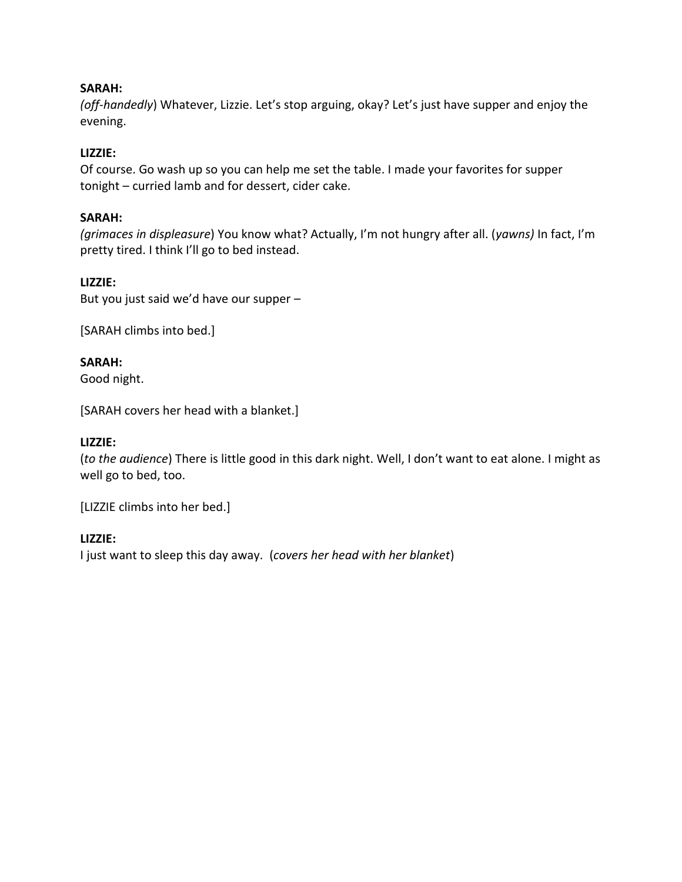# **SARAH:**

*(off-handedly*) Whatever, Lizzie. Let's stop arguing, okay? Let's just have supper and enjoy the evening.

# **LIZZIE:**

Of course. Go wash up so you can help me set the table. I made your favorites for supper tonight – curried lamb and for dessert, cider cake.

# **SARAH:**

*(grimaces in displeasure*) You know what? Actually, I'm not hungry after all. (*yawns)* In fact, I'm pretty tired. I think I'll go to bed instead.

# **LIZZIE:**

But you just said we'd have our supper –

[SARAH climbs into bed.]

# **SARAH:**

Good night.

[SARAH covers her head with a blanket.]

# **LIZZIE:**

(*to the audience*) There is little good in this dark night. Well, I don't want to eat alone. I might as well go to bed, too.

[LIZZIE climbs into her bed.]

# **LIZZIE:**

I just want to sleep this day away. (*covers her head with her blanket*)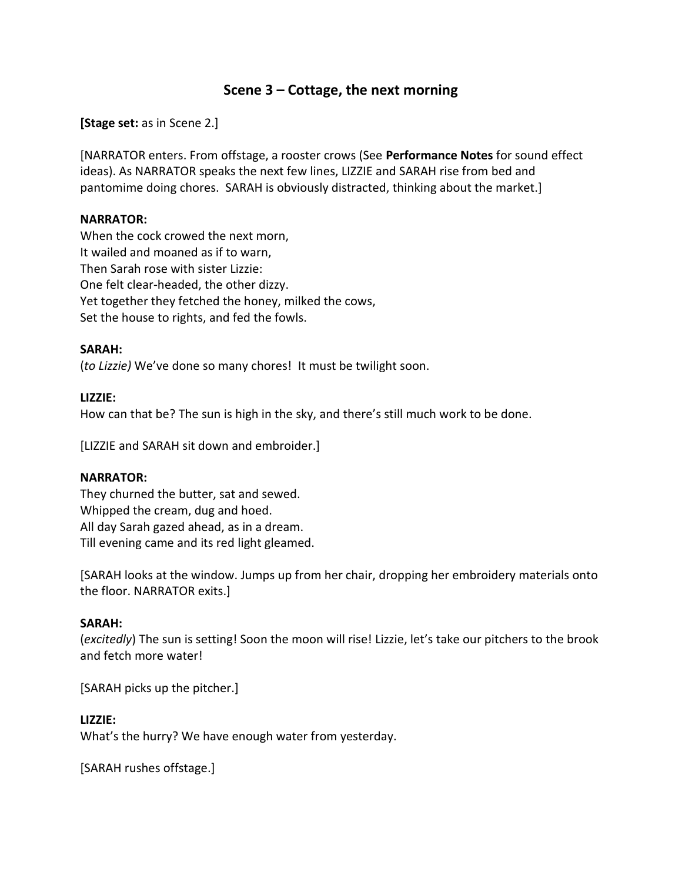# **Scene 3 – Cottage, the next morning**

**[Stage set:** as in Scene 2.]

[NARRATOR enters. From offstage, a rooster crows (See **Performance Notes** for sound effect ideas). As NARRATOR speaks the next few lines, LIZZIE and SARAH rise from bed and pantomime doing chores. SARAH is obviously distracted, thinking about the market.]

# **NARRATOR:**

When the cock crowed the next morn, It wailed and moaned as if to warn, Then Sarah rose with sister Lizzie: One felt clear-headed, the other dizzy. Yet together they fetched the honey, milked the cows, Set the house to rights, and fed the fowls.

#### **SARAH:**

(*to Lizzie)* We've done so many chores! It must be twilight soon.

#### **LIZZIE:**

How can that be? The sun is high in the sky, and there's still much work to be done.

[LIZZIE and SARAH sit down and embroider.]

# **NARRATOR:**

They churned the butter, sat and sewed. Whipped the cream, dug and hoed. All day Sarah gazed ahead, as in a dream. Till evening came and its red light gleamed.

[SARAH looks at the window. Jumps up from her chair, dropping her embroidery materials onto the floor. NARRATOR exits.]

# **SARAH:**

(*excitedly*) The sun is setting! Soon the moon will rise! Lizzie, let's take our pitchers to the brook and fetch more water!

[SARAH picks up the pitcher.]

# **LIZZIE:**

What's the hurry? We have enough water from yesterday.

[SARAH rushes offstage.]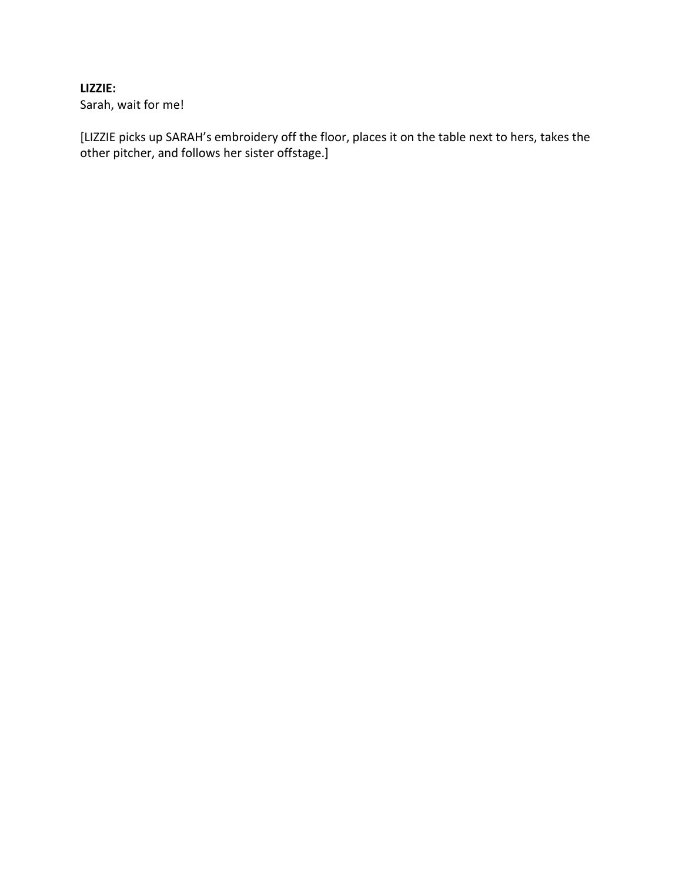# **LIZZIE:**

Sarah, wait for me!

[LIZZIE picks up SARAH's embroidery off the floor, places it on the table next to hers, takes the other pitcher, and follows her sister offstage.]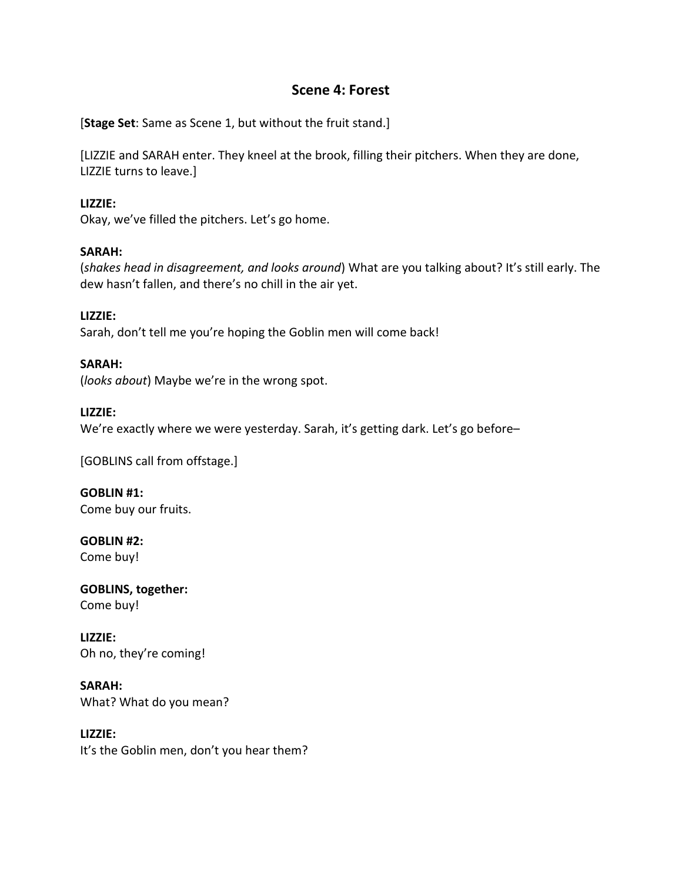# **Scene 4: Forest**

[**Stage Set**: Same as Scene 1, but without the fruit stand.]

[LIZZIE and SARAH enter. They kneel at the brook, filling their pitchers. When they are done, LIZZIE turns to leave.]

# **LIZZIE:**

Okay, we've filled the pitchers. Let's go home.

# **SARAH:**

(*shakes head in disagreement, and looks around*) What are you talking about? It's still early. The dew hasn't fallen, and there's no chill in the air yet.

**LIZZIE:** Sarah, don't tell me you're hoping the Goblin men will come back!

**SARAH:** (*looks about*) Maybe we're in the wrong spot.

# **LIZZIE:**

We're exactly where we were yesterday. Sarah, it's getting dark. Let's go before-

[GOBLINS call from offstage.]

**GOBLIN #1:** Come buy our fruits.

**GOBLIN #2:** Come buy!

**GOBLINS, together:** Come buy!

**LIZZIE:** Oh no, they're coming!

**SARAH:** What? What do you mean?

**LIZZIE:** It's the Goblin men, don't you hear them?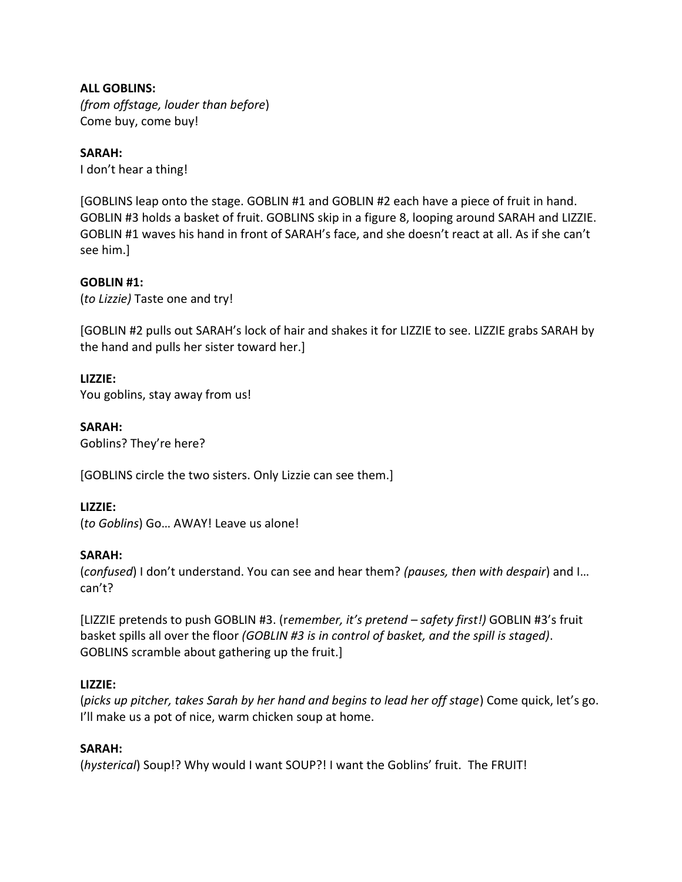**ALL GOBLINS:** *(from offstage, louder than before*) Come buy, come buy!

# **SARAH:**

I don't hear a thing!

[GOBLINS leap onto the stage. GOBLIN #1 and GOBLIN #2 each have a piece of fruit in hand. GOBLIN #3 holds a basket of fruit. GOBLINS skip in a figure 8, looping around SARAH and LIZZIE. GOBLIN #1 waves his hand in front of SARAH's face, and she doesn't react at all. As if she can't see him.]

# **GOBLIN #1:**

(*to Lizzie)* Taste one and try!

[GOBLIN #2 pulls out SARAH's lock of hair and shakes it for LIZZIE to see. LIZZIE grabs SARAH by the hand and pulls her sister toward her.]

# **LIZZIE:**

You goblins, stay away from us!

**SARAH:** Goblins? They're here?

[GOBLINS circle the two sisters. Only Lizzie can see them.]

# **LIZZIE:**

(*to Goblins*) Go… AWAY! Leave us alone!

# **SARAH:**

(*confused*) I don't understand. You can see and hear them? *(pauses, then with despair*) and I… can't?

[LIZZIE pretends to push GOBLIN #3. (r*emember, it's pretend – safety first!)* GOBLIN #3's fruit basket spills all over the floor *(GOBLIN #3 is in control of basket, and the spill is staged)*. GOBLINS scramble about gathering up the fruit.]

# **LIZZIE:**

(*picks up pitcher, takes Sarah by her hand and begins to lead her off stage*) Come quick, let's go. I'll make us a pot of nice, warm chicken soup at home.

# **SARAH:**

(*hysterical*) Soup!? Why would I want SOUP?! I want the Goblins' fruit. The FRUIT!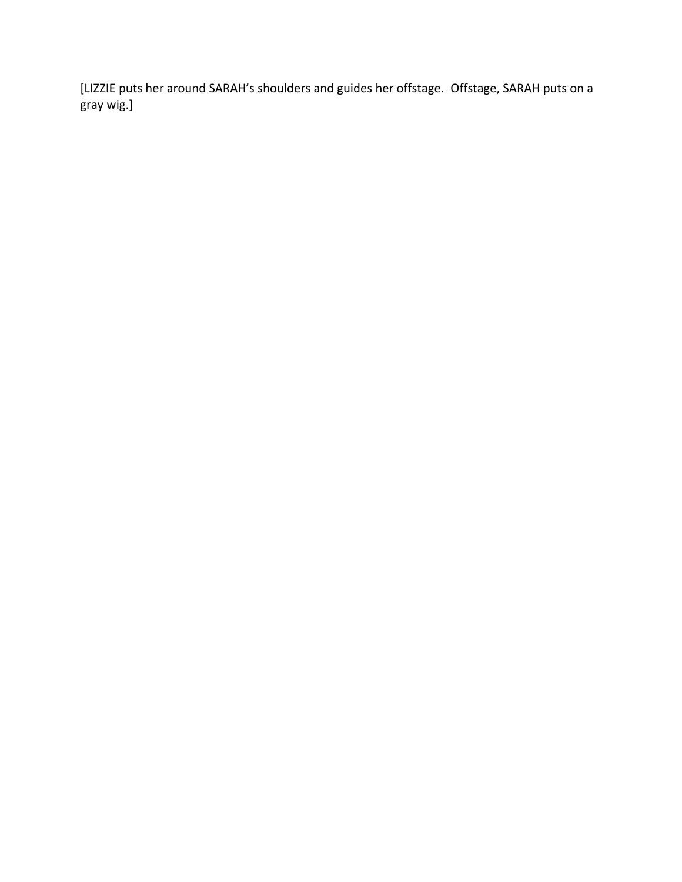[LIZZIE puts her around SARAH's shoulders and guides her offstage. Offstage, SARAH puts on a gray wig.]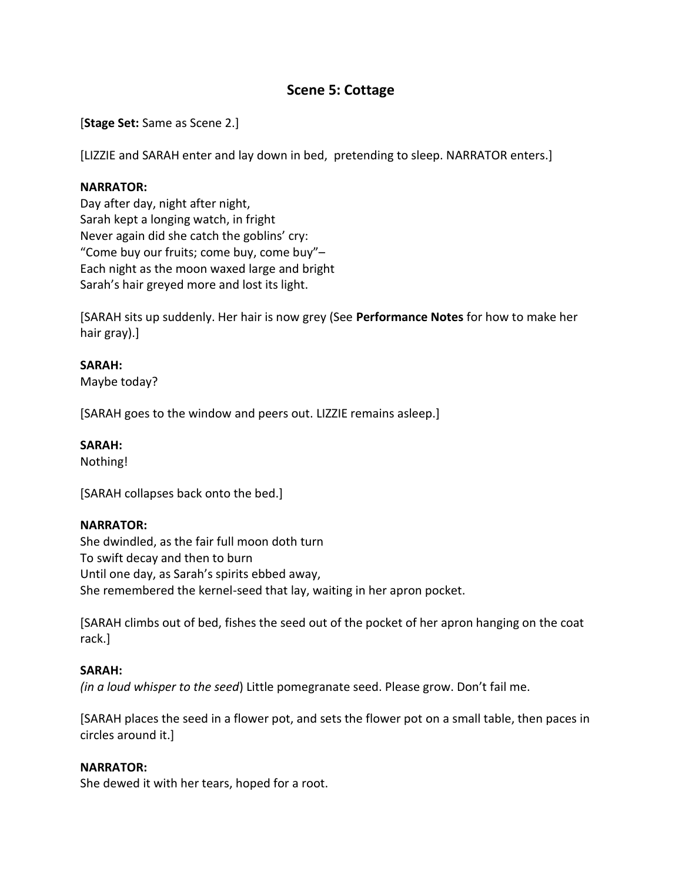# **Scene 5: Cottage**

[**Stage Set:** Same as Scene 2.]

[LIZZIE and SARAH enter and lay down in bed, pretending to sleep. NARRATOR enters.]

# **NARRATOR:**

Day after day, night after night, Sarah kept a longing watch, in fright Never again did she catch the goblins' cry: "Come buy our fruits; come buy, come buy"– Each night as the moon waxed large and bright Sarah's hair greyed more and lost its light.

[SARAH sits up suddenly. Her hair is now grey (See **Performance Notes** for how to make her hair gray).]

# **SARAH:**

Maybe today?

[SARAH goes to the window and peers out. LIZZIE remains asleep.]

# **SARAH:**

Nothing!

[SARAH collapses back onto the bed.]

# **NARRATOR:**

She dwindled, as the fair full moon doth turn To swift decay and then to burn Until one day, as Sarah's spirits ebbed away, She remembered the kernel-seed that lay, waiting in her apron pocket.

[SARAH climbs out of bed, fishes the seed out of the pocket of her apron hanging on the coat rack.]

# **SARAH:**

*(in a loud whisper to the seed*) Little pomegranate seed. Please grow. Don't fail me.

[SARAH places the seed in a flower pot, and sets the flower pot on a small table, then paces in circles around it.]

# **NARRATOR:**

She dewed it with her tears, hoped for a root.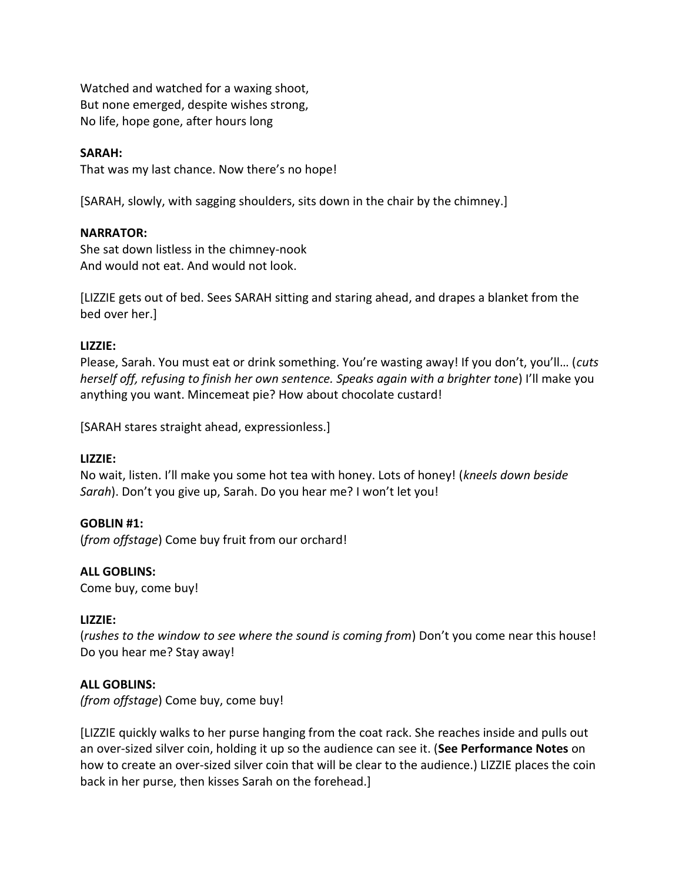Watched and watched for a waxing shoot, But none emerged, despite wishes strong, No life, hope gone, after hours long

# **SARAH:**

That was my last chance. Now there's no hope!

[SARAH, slowly, with sagging shoulders, sits down in the chair by the chimney.]

# **NARRATOR:**

She sat down listless in the chimney-nook And would not eat. And would not look.

[LIZZIE gets out of bed. Sees SARAH sitting and staring ahead, and drapes a blanket from the bed over her.]

# **LIZZIE:**

Please, Sarah. You must eat or drink something. You're wasting away! If you don't, you'll… (*cuts herself off, refusing to finish her own sentence. Speaks again with a brighter tone*) I'll make you anything you want. Mincemeat pie? How about chocolate custard!

[SARAH stares straight ahead, expressionless.]

# **LIZZIE:**

No wait, listen. I'll make you some hot tea with honey. Lots of honey! (*kneels down beside Sarah*). Don't you give up, Sarah. Do you hear me? I won't let you!

# **GOBLIN #1:**

(*from offstage*) Come buy fruit from our orchard!

#### **ALL GOBLINS:**

Come buy, come buy!

#### **LIZZIE:**

(*rushes to the window to see where the sound is coming from*) Don't you come near this house! Do you hear me? Stay away!

# **ALL GOBLINS:**

*(from offstage*) Come buy, come buy!

[LIZZIE quickly walks to her purse hanging from the coat rack. She reaches inside and pulls out an over-sized silver coin, holding it up so the audience can see it. (**See Performance Notes** on how to create an over-sized silver coin that will be clear to the audience.) LIZZIE places the coin back in her purse, then kisses Sarah on the forehead.]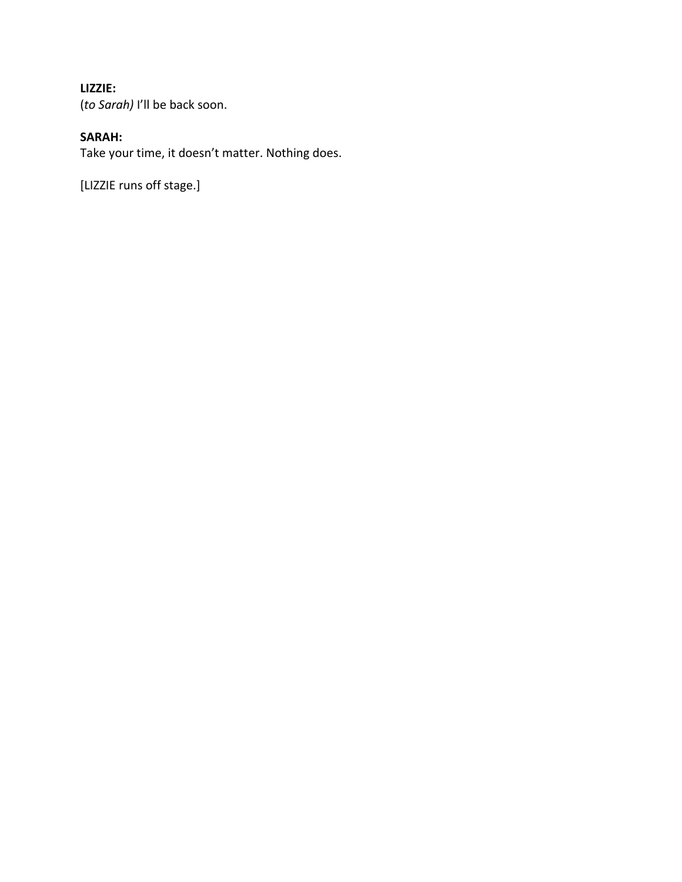# **LIZZIE:**

(*to Sarah)* I'll be back soon.

# **SARAH:**

Take your time, it doesn't matter. Nothing does.

[LIZZIE runs off stage.]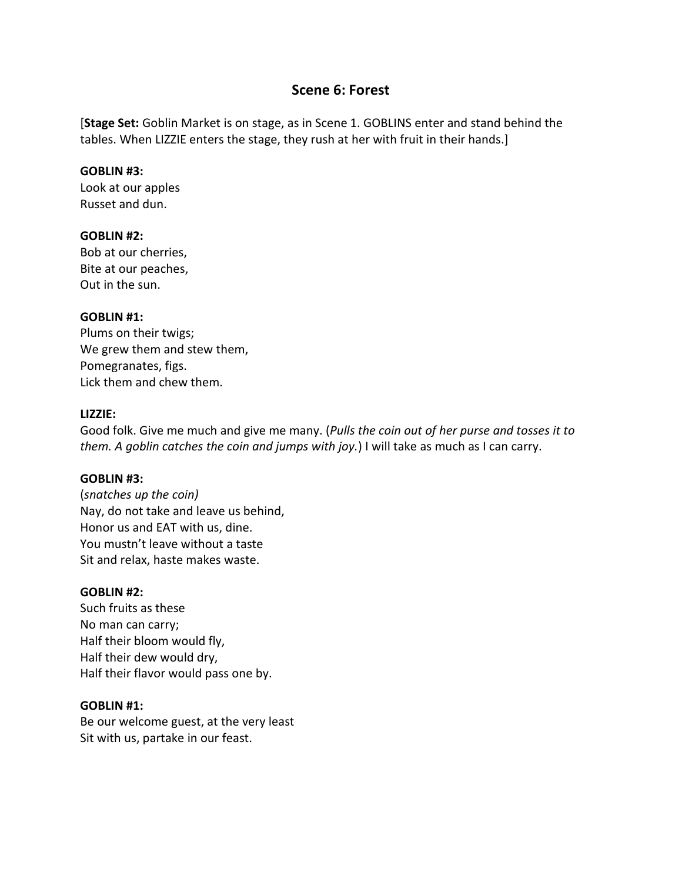# **Scene 6: Forest**

[**Stage Set:** Goblin Market is on stage, as in Scene 1. GOBLINS enter and stand behind the tables. When LIZZIE enters the stage, they rush at her with fruit in their hands.]

#### **GOBLIN #3:**

Look at our apples Russet and dun.

# **GOBLIN #2:**

Bob at our cherries, Bite at our peaches, Out in the sun.

#### **GOBLIN #1:**

Plums on their twigs; We grew them and stew them, Pomegranates, figs. Lick them and chew them.

#### **LIZZIE:**

Good folk. Give me much and give me many. (*Pulls the coin out of her purse and tosses it to them. A goblin catches the coin and jumps with joy.*) I will take as much as I can carry.

# **GOBLIN #3:**

(*snatches up the coin)* Nay, do not take and leave us behind, Honor us and EAT with us, dine. You mustn't leave without a taste Sit and relax, haste makes waste.

# **GOBLIN #2:**

Such fruits as these No man can carry; Half their bloom would fly, Half their dew would dry, Half their flavor would pass one by.

#### **GOBLIN #1:**

Be our welcome guest, at the very least Sit with us, partake in our feast.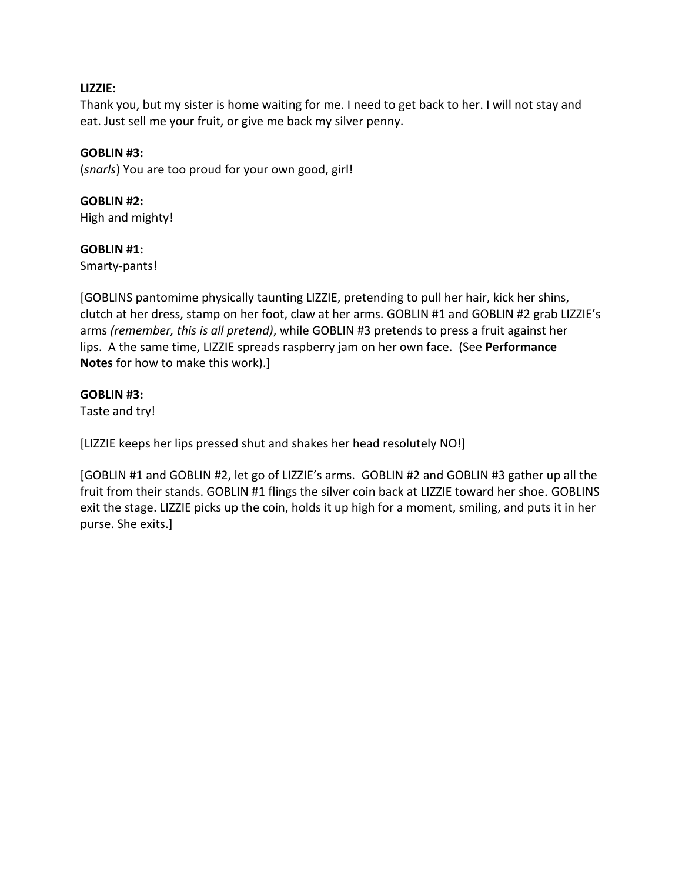# **LIZZIE:**

Thank you, but my sister is home waiting for me. I need to get back to her. I will not stay and eat. Just sell me your fruit, or give me back my silver penny.

#### **GOBLIN #3:**

(*snarls*) You are too proud for your own good, girl!

# **GOBLIN #2:**

High and mighty!

#### **GOBLIN #1:**

Smarty-pants!

[GOBLINS pantomime physically taunting LIZZIE, pretending to pull her hair, kick her shins, clutch at her dress, stamp on her foot, claw at her arms. GOBLIN #1 and GOBLIN #2 grab LIZZIE's arms *(remember, this is all pretend)*, while GOBLIN #3 pretends to press a fruit against her lips. A the same time, LIZZIE spreads raspberry jam on her own face. (See **Performance Notes** for how to make this work).]

#### **GOBLIN #3:**

Taste and try!

[LIZZIE keeps her lips pressed shut and shakes her head resolutely NO!]

[GOBLIN #1 and GOBLIN #2, let go of LIZZIE's arms. GOBLIN #2 and GOBLIN #3 gather up all the fruit from their stands. GOBLIN #1 flings the silver coin back at LIZZIE toward her shoe. GOBLINS exit the stage. LIZZIE picks up the coin, holds it up high for a moment, smiling, and puts it in her purse. She exits.]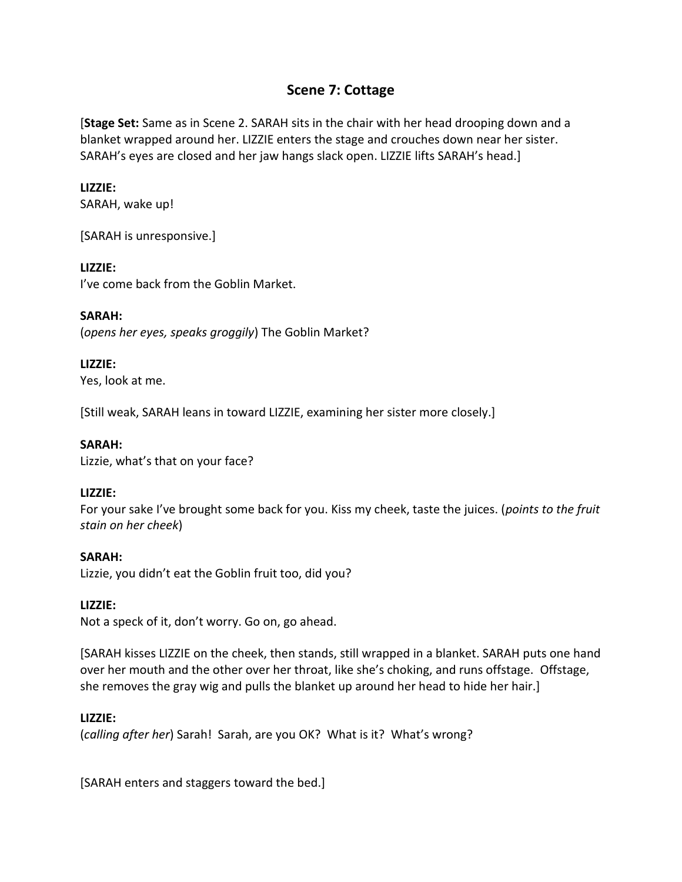# **Scene 7: Cottage**

[**Stage Set:** Same as in Scene 2. SARAH sits in the chair with her head drooping down and a blanket wrapped around her. LIZZIE enters the stage and crouches down near her sister. SARAH's eyes are closed and her jaw hangs slack open. LIZZIE lifts SARAH's head.]

# **LIZZIE:**

SARAH, wake up!

[SARAH is unresponsive.]

# **LIZZIE:**

I've come back from the Goblin Market.

**SARAH:** (*opens her eyes, speaks groggily*) The Goblin Market?

# **LIZZIE:**

Yes, look at me.

[Still weak, SARAH leans in toward LIZZIE, examining her sister more closely.]

# **SARAH:**

Lizzie, what's that on your face?

# **LIZZIE:**

For your sake I've brought some back for you. Kiss my cheek, taste the juices. (*points to the fruit stain on her cheek*)

# **SARAH:**

Lizzie, you didn't eat the Goblin fruit too, did you?

# **LIZZIE:**

Not a speck of it, don't worry. Go on, go ahead.

[SARAH kisses LIZZIE on the cheek, then stands, still wrapped in a blanket. SARAH puts one hand over her mouth and the other over her throat, like she's choking, and runs offstage. Offstage, she removes the gray wig and pulls the blanket up around her head to hide her hair.]

# **LIZZIE:**

(*calling after her*) Sarah! Sarah, are you OK? What is it? What's wrong?

[SARAH enters and staggers toward the bed.]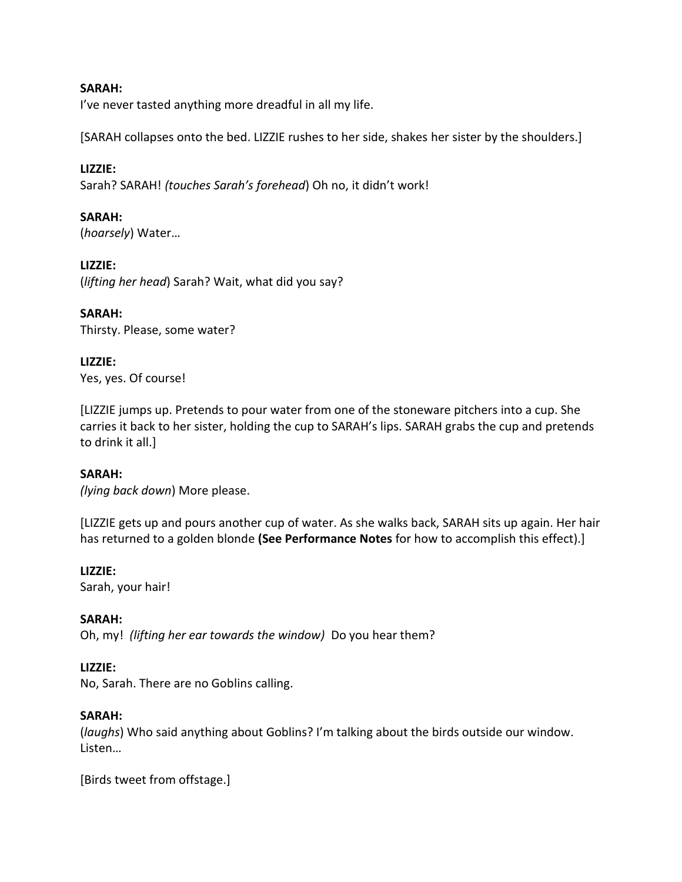# **SARAH:**

I've never tasted anything more dreadful in all my life.

[SARAH collapses onto the bed. LIZZIE rushes to her side, shakes her sister by the shoulders.]

#### **LIZZIE:**

Sarah? SARAH! *(touches Sarah's forehead*) Oh no, it didn't work!

#### **SARAH:**

(*hoarsely*) Water…

#### **LIZZIE:**

(*lifting her head*) Sarah? Wait, what did you say?

#### **SARAH:**

Thirsty. Please, some water?

# **LIZZIE:**

Yes, yes. Of course!

[LIZZIE jumps up. Pretends to pour water from one of the stoneware pitchers into a cup. She carries it back to her sister, holding the cup to SARAH's lips. SARAH grabs the cup and pretends to drink it all.]

# **SARAH:**

*(lying back down*) More please.

[LIZZIE gets up and pours another cup of water. As she walks back, SARAH sits up again. Her hair has returned to a golden blonde **(See Performance Notes** for how to accomplish this effect).]

#### **LIZZIE:**

Sarah, your hair!

# **SARAH:**

Oh, my! *(lifting her ear towards the window)* Do you hear them?

# **LIZZIE:**

No, Sarah. There are no Goblins calling.

# **SARAH:**

(*laughs*) Who said anything about Goblins? I'm talking about the birds outside our window. Listen…

[Birds tweet from offstage.]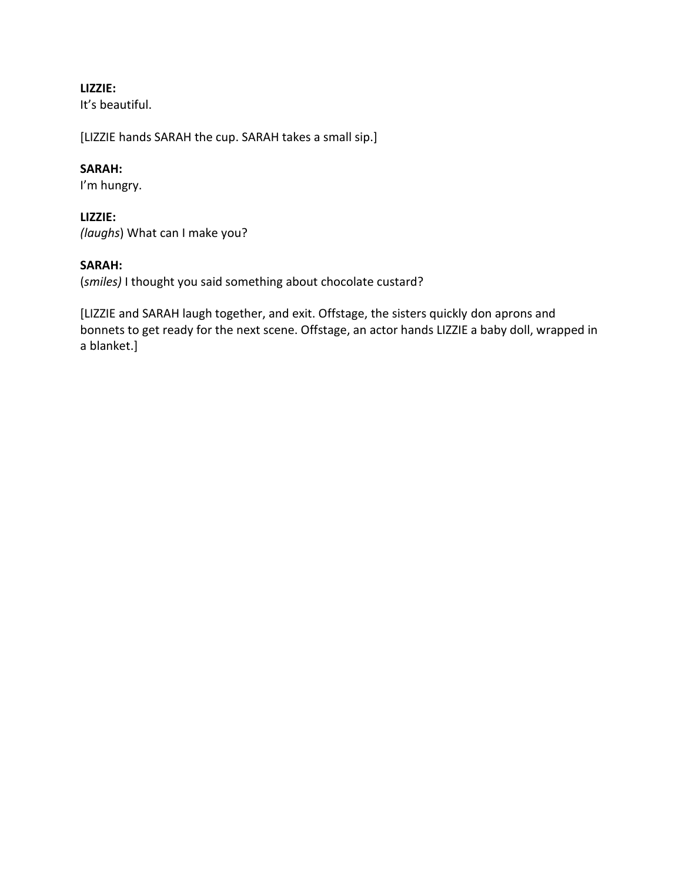# **LIZZIE:**

It's beautiful.

[LIZZIE hands SARAH the cup. SARAH takes a small sip.]

# **SARAH:**

I'm hungry.

# **LIZZIE:**

*(laughs*) What can I make you?

# **SARAH:**

(*smiles)* I thought you said something about chocolate custard?

[LIZZIE and SARAH laugh together, and exit. Offstage, the sisters quickly don aprons and bonnets to get ready for the next scene. Offstage, an actor hands LIZZIE a baby doll, wrapped in a blanket.]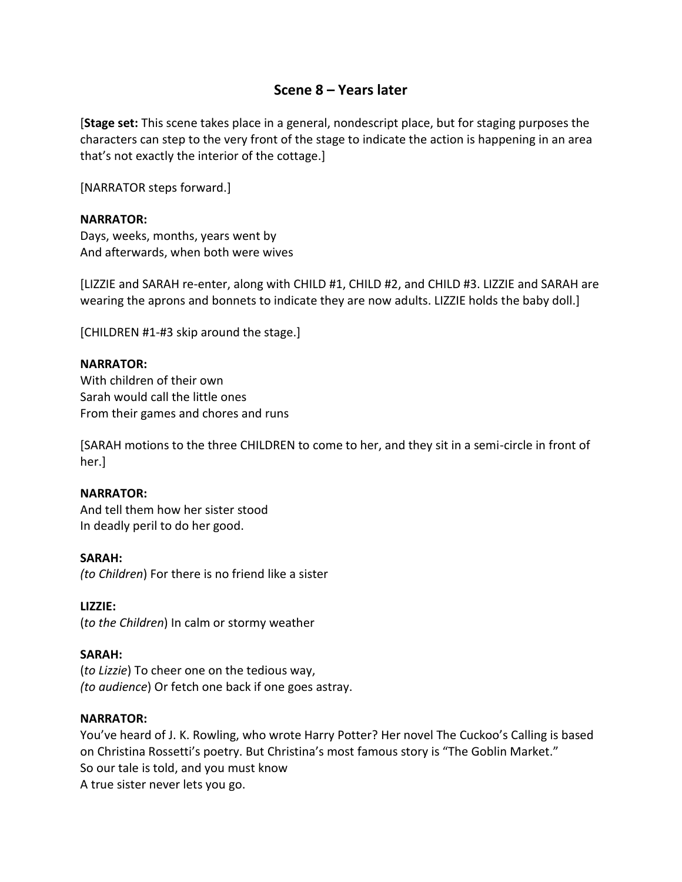# **Scene 8 – Years later**

[**Stage set:** This scene takes place in a general, nondescript place, but for staging purposes the characters can step to the very front of the stage to indicate the action is happening in an area that's not exactly the interior of the cottage.]

[NARRATOR steps forward.]

#### **NARRATOR:**

Days, weeks, months, years went by And afterwards, when both were wives

[LIZZIE and SARAH re-enter, along with CHILD #1, CHILD #2, and CHILD #3. LIZZIE and SARAH are wearing the aprons and bonnets to indicate they are now adults. LIZZIE holds the baby doll.]

[CHILDREN #1-#3 skip around the stage.]

#### **NARRATOR:**

With children of their own Sarah would call the little ones From their games and chores and runs

[SARAH motions to the three CHILDREN to come to her, and they sit in a semi-circle in front of her.]

#### **NARRATOR:**

And tell them how her sister stood In deadly peril to do her good.

#### **SARAH:**

*(to Children*) For there is no friend like a sister

#### **LIZZIE:**

(*to the Children*) In calm or stormy weather

# **SARAH:**

(*to Lizzie*) To cheer one on the tedious way, *(to audience*) Or fetch one back if one goes astray.

#### **NARRATOR:**

You've heard of J. K. Rowling, who wrote Harry Potter? Her novel The Cuckoo's Calling is based on Christina Rossetti's poetry. But Christina's most famous story is "The Goblin Market." So our tale is told, and you must know A true sister never lets you go.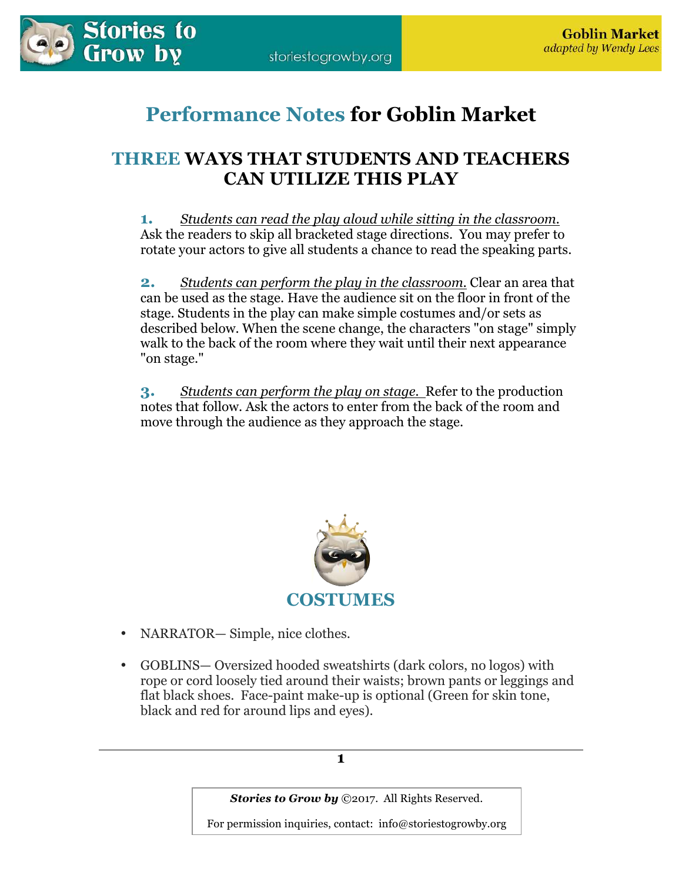

# **Performance Notes for Goblin Market**

# **THREE WAYS THAT STUDENTS AND TEACHERS CAN UTILIZE THIS PLAY**

**1.** *Students can read the play aloud while sitting in the classroom.* Ask the readers to skip all bracketed stage directions. You may prefer to rotate your actors to give all students a chance to read the speaking parts.

**2.** *Students can perform the play in the classroom.* Clear an area that can be used as the stage. Have the audience sit on the floor in front of the stage. Students in the play can make simple costumes and/or sets as described below. When the scene change, the characters "on stage" simply walk to the back of the room where they wait until their next appearance "on stage."

**3.** *Students can perform the play on stage.* Refer to the production notes that follow. Ask the actors to enter from the back of the room and move through the audience as they approach the stage.



- NARRATOR— Simple, nice clothes.
- GOBLINS— Oversized hooded sweatshirts (dark colors, no logos) with rope or cord loosely tied around their waists; brown pants or leggings and flat black shoes. Face-paint make-up is optional (Green for skin tone, black and red for around lips and eyes).

**1** 

*Stories to Grow by ©2017. All Rights Reserved.*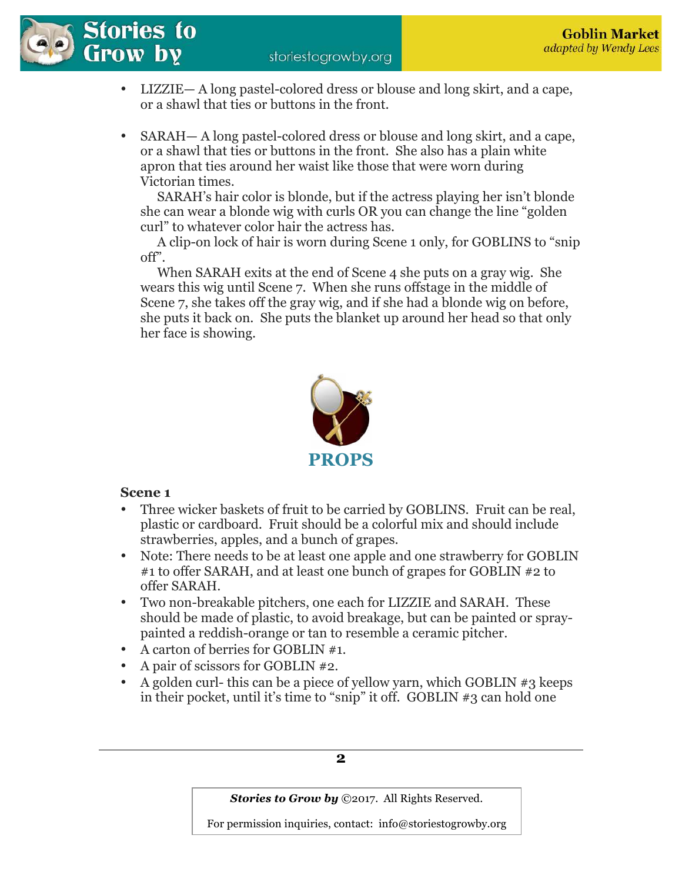

- LIZZIE— A long pastel-colored dress or blouse and long skirt, and a cape, or a shawl that ties or buttons in the front.
- SARAH— A long pastel-colored dress or blouse and long skirt, and a cape, or a shawl that ties or buttons in the front. She also has a plain white apron that ties around her waist like those that were worn during Victorian times.

 SARAH's hair color is blonde, but if the actress playing her isn't blonde she can wear a blonde wig with curls OR you can change the line "golden curl" to whatever color hair the actress has.

 A clip-on lock of hair is worn during Scene 1 only, for GOBLINS to "snip off".

 When SARAH exits at the end of Scene 4 she puts on a gray wig. She wears this wig until Scene 7. When she runs offstage in the middle of Scene 7, she takes off the gray wig, and if she had a blonde wig on before, she puts it back on. She puts the blanket up around her head so that only her face is showing.



# **Scene 1**

- Three wicker baskets of fruit to be carried by GOBLINS. Fruit can be real, plastic or cardboard. Fruit should be a colorful mix and should include strawberries, apples, and a bunch of grapes.
- Note: There needs to be at least one apple and one strawberry for GOBLIN #1 to offer SARAH, and at least one bunch of grapes for GOBLIN #2 to offer SARAH.
- Two non-breakable pitchers, one each for LIZZIE and SARAH. These should be made of plastic, to avoid breakage, but can be painted or spraypainted a reddish-orange or tan to resemble a ceramic pitcher.
- A carton of berries for GOBLIN #1.
- A pair of scissors for GOBLIN #2.
- A golden curl-this can be a piece of vellow yarn, which GOBLIN  $#3$  keeps in their pocket, until it's time to "snip" it off. GOBLIN #3 can hold one

**2** 

*Stories to Grow by ©2017. All Rights Reserved.*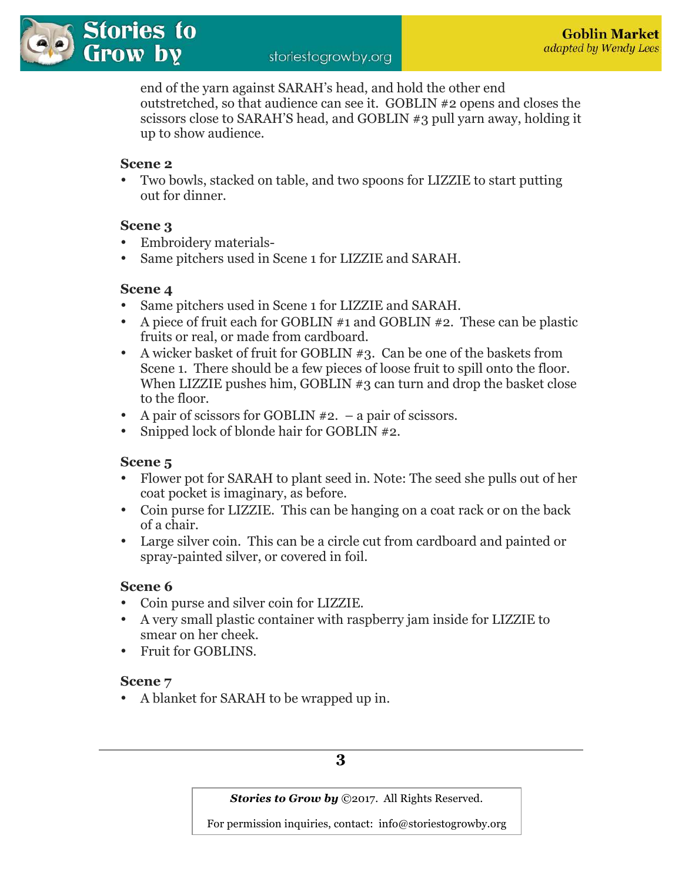end of the yarn against SARAH's head, and hold the other end outstretched, so that audience can see it. GOBLIN #2 opens and closes the scissors close to SARAH'S head, and GOBLIN #3 pull yarn away, holding it up to show audience.

# **Scene 2**

• Two bowls, stacked on table, and two spoons for LIZZIE to start putting out for dinner.

# **Scene 3**

- Embroidery materials-
- Same pitchers used in Scene 1 for LIZZIE and SARAH.

# **Scene 4**

- Same pitchers used in Scene 1 for LIZZIE and SARAH.
- A piece of fruit each for GOBLIN #1 and GOBLIN #2. These can be plastic fruits or real, or made from cardboard.
- A wicker basket of fruit for GOBLIN #3. Can be one of the baskets from Scene 1. There should be a few pieces of loose fruit to spill onto the floor. When LIZZIE pushes him, GOBLIN #3 can turn and drop the basket close to the floor.
- A pair of scissors for GOBLIN #2. a pair of scissors.
- Snipped lock of blonde hair for GOBLIN #2.

# **Scene 5**

- Flower pot for SARAH to plant seed in. Note: The seed she pulls out of her coat pocket is imaginary, as before.
- Coin purse for LIZZIE. This can be hanging on a coat rack or on the back of a chair.
- Large silver coin. This can be a circle cut from cardboard and painted or spray-painted silver, or covered in foil.

# **Scene 6**

- Coin purse and silver coin for LIZZIE.
- A very small plastic container with raspberry jam inside for LIZZIE to smear on her cheek.
- Fruit for GOBLINS.

# **Scene 7**

• A blanket for SARAH to be wrapped up in.

# **3**

*Stories to Grow by ©2017. All Rights Reserved.*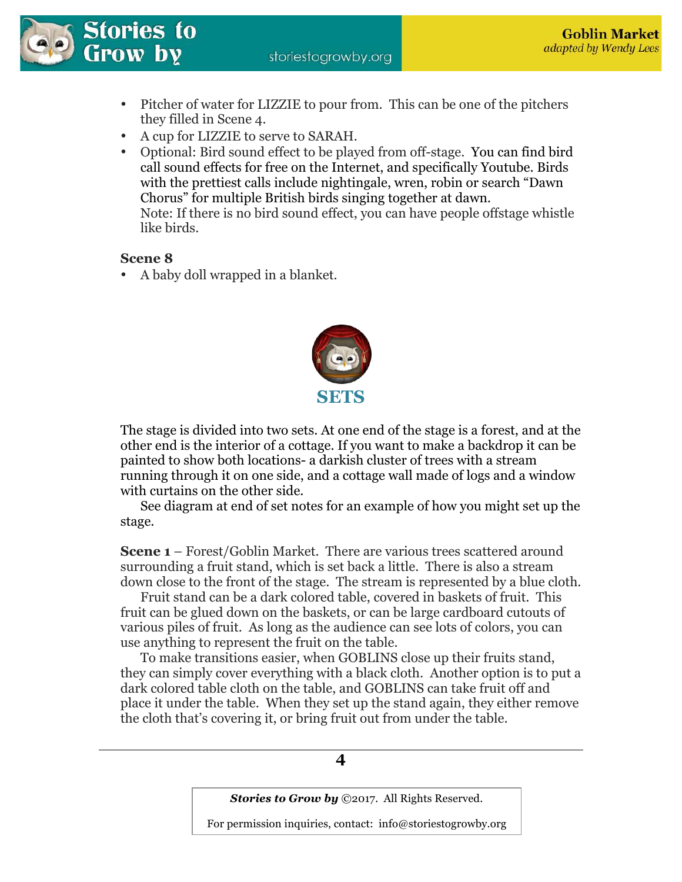storiestogrowby.org



- Pitcher of water for LIZZIE to pour from. This can be one of the pitchers they filled in Scene 4.
- A cup for LIZZIE to serve to SARAH.
- Optional: Bird sound effect to be played from off-stage. You can find bird call sound effects for free on the Internet, and specifically Youtube. Birds with the prettiest calls include nightingale, wren, robin or search "Dawn Chorus" for multiple British birds singing together at dawn. Note: If there is no bird sound effect, you can have people offstage whistle like birds.

# **Scene 8**

• A baby doll wrapped in a blanket.



The stage is divided into two sets. At one end of the stage is a forest, and at the other end is the interior of a cottage. If you want to make a backdrop it can be painted to show both locations- a darkish cluster of trees with a stream running through it on one side, and a cottage wall made of logs and a window with curtains on the other side.

 See diagram at end of set notes for an example of how you might set up the stage.

**Scene 1** – Forest/Goblin Market. There are various trees scattered around surrounding a fruit stand, which is set back a little. There is also a stream down close to the front of the stage. The stream is represented by a blue cloth.

 Fruit stand can be a dark colored table, covered in baskets of fruit. This fruit can be glued down on the baskets, or can be large cardboard cutouts of various piles of fruit. As long as the audience can see lots of colors, you can use anything to represent the fruit on the table.

To make transitions easier, when GOBLINS close up their fruits stand, they can simply cover everything with a black cloth. Another option is to put a dark colored table cloth on the table, and GOBLINS can take fruit off and place it under the table. When they set up the stand again, they either remove the cloth that's covering it, or bring fruit out from under the table.

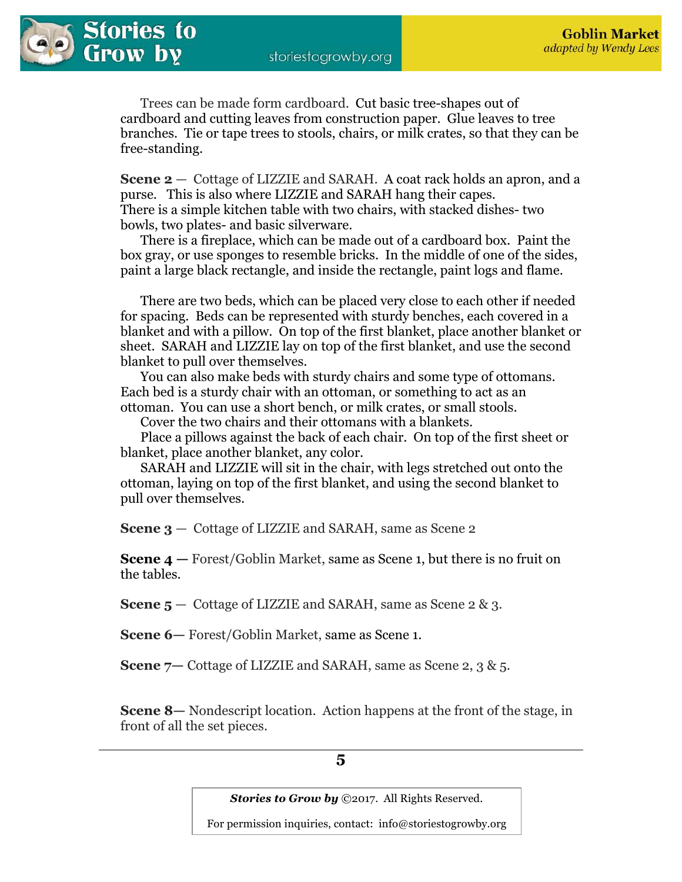

Trees can be made form cardboard. Cut basic tree-shapes out of cardboard and cutting leaves from construction paper. Glue leaves to tree branches. Tie or tape trees to stools, chairs, or milk crates, so that they can be free-standing.

**Scene 2** — Cottage of LIZZIE and SARAH. A coat rack holds an apron, and a purse. This is also where LIZZIE and SARAH hang their capes. There is a simple kitchen table with two chairs, with stacked dishes- two bowls, two plates- and basic silverware.

There is a fireplace, which can be made out of a cardboard box. Paint the box gray, or use sponges to resemble bricks. In the middle of one of the sides, paint a large black rectangle, and inside the rectangle, paint logs and flame.

 There are two beds, which can be placed very close to each other if needed for spacing. Beds can be represented with sturdy benches, each covered in a blanket and with a pillow. On top of the first blanket, place another blanket or sheet. SARAH and LIZZIE lay on top of the first blanket, and use the second blanket to pull over themselves.

 You can also make beds with sturdy chairs and some type of ottomans. Each bed is a sturdy chair with an ottoman, or something to act as an ottoman. You can use a short bench, or milk crates, or small stools.

Cover the two chairs and their ottomans with a blankets.

Place a pillows against the back of each chair. On top of the first sheet or blanket, place another blanket, any color.

 SARAH and LIZZIE will sit in the chair, with legs stretched out onto the ottoman, laying on top of the first blanket, and using the second blanket to pull over themselves.

**Scene 3** — Cottage of LIZZIE and SARAH, same as Scene 2

**Scene 4** — Forest/Goblin Market, same as Scene 1, but there is no fruit on the tables.

**Scene 5** – Cottage of LIZZIE and SARAH, same as Scene 2 & 3.

**Scene 6—** Forest/Goblin Market, same as Scene 1.

**Scene 7—** Cottage of LIZZIE and SARAH, same as Scene 2, 3 & 5.

**Scene 8—** Nondescript location. Action happens at the front of the stage, in front of all the set pieces.

**5** 

*Stories to Grow by ©2017. All Rights Reserved.*